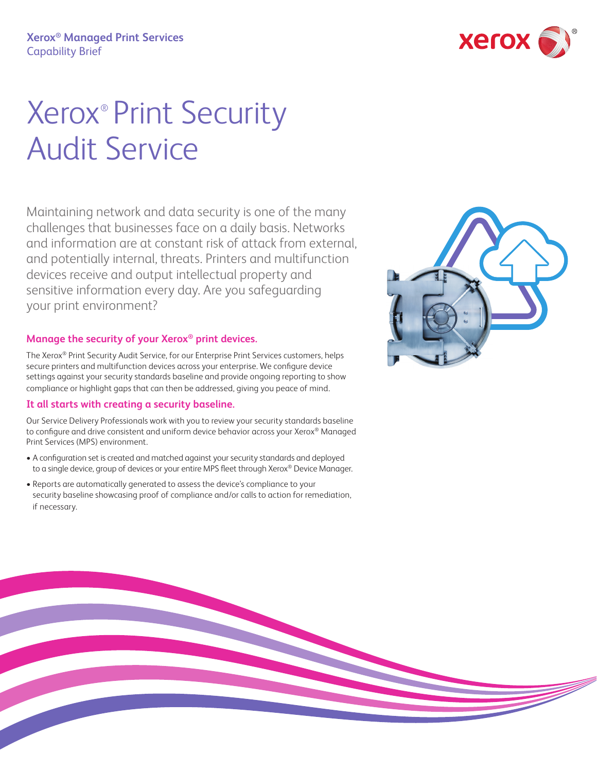

# Xerox® Print Security Audit Service

Maintaining network and data security is one of the many challenges that businesses face on a daily basis. Networks and information are at constant risk of attack from external, and potentially internal, threats. Printers and multifunction devices receive and output intellectual property and sensitive information every day. Are you safeguarding your print environment?

### **Manage the security of your Xerox® print devices.**

The Xerox® Print Security Audit Service, for our Enterprise Print Services customers, helps secure printers and multifunction devices across your enterprise. We configure device settings against your security standards baseline and provide ongoing reporting to show compliance or highlight gaps that can then be addressed, giving you peace of mind.

### **It all starts with creating a security baseline.**

Our Service Delivery Professionals work with you to review your security standards baseline to configure and drive consistent and uniform device behavior across your Xerox® Managed Print Services (MPS) environment.

- A configuration set is created and matched against your security standards and deployed to a single device, group of devices or your entire MPS fleet through Xerox® Device Manager.
- Reports are automatically generated to assess the device's compliance to your security baseline showcasing proof of compliance and/or calls to action for remediation, if necessary.